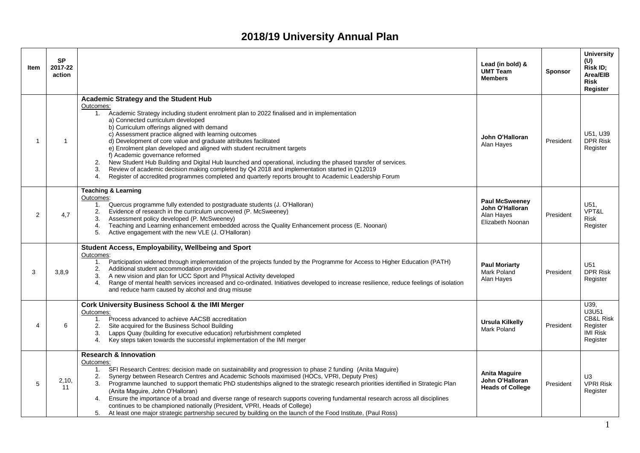## **2018/19 University Annual Plan**

| Item           | <b>SP</b><br>2017-22<br>action |                                                                                                                                                                                                                                                                                                                                                                                                                                                                                                                                                                                                                                                                                                                                                                                                                                  | Lead (in bold) &<br><b>UMT Team</b><br><b>Members</b>                      | <b>Sponsor</b> | <b>University</b><br>(U)<br>Risk ID;<br>Area/EIB<br><b>Risk</b><br>Register      |
|----------------|--------------------------------|----------------------------------------------------------------------------------------------------------------------------------------------------------------------------------------------------------------------------------------------------------------------------------------------------------------------------------------------------------------------------------------------------------------------------------------------------------------------------------------------------------------------------------------------------------------------------------------------------------------------------------------------------------------------------------------------------------------------------------------------------------------------------------------------------------------------------------|----------------------------------------------------------------------------|----------------|----------------------------------------------------------------------------------|
| $\overline{1}$ | $\overline{1}$                 | Academic Strategy and the Student Hub<br>Outcomes:<br>1. Academic Strategy including student enrolment plan to 2022 finalised and in implementation<br>a) Connected curriculum developed<br>b) Curriculum offerings aligned with demand<br>c) Assessment practice aligned with learning outcomes<br>d) Development of core value and graduate attributes facilitated<br>e) Enrolment plan developed and aligned with student recruitment targets<br>f) Academic governance reformed<br>New Student Hub Building and Digital Hub launched and operational, including the phased transfer of services.<br>2.<br>Review of academic decision making completed by Q4 2018 and implementation started in Q12019<br>3.<br>4.<br>Register of accredited programmes completed and quarterly reports brought to Academic Leadership Forum | John O'Halloran<br>Alan Hayes                                              | President      | U51, U39<br><b>DPR Risk</b><br>Register                                          |
| $\overline{2}$ | 4,7                            | <b>Teaching &amp; Learning</b><br>Outcomes:<br>Quercus programme fully extended to postgraduate students (J. O'Halloran)<br>1.<br>Evidence of research in the curriculum uncovered (P. McSweeney)<br>2.<br>Assessment policy developed (P. McSweeney)<br>3.<br>Teaching and Learning enhancement embedded across the Quality Enhancement process (E. Noonan)<br>4.<br>Active engagement with the new VLE (J. O'Halloran)<br>5.                                                                                                                                                                                                                                                                                                                                                                                                   | <b>Paul McSweeney</b><br>John O'Halloran<br>Alan Hayes<br>Elizabeth Noonan | President      | U51,<br>VPT&L<br><b>Risk</b><br>Register                                         |
| 3              | 3,8,9                          | Student Access, Employability, Wellbeing and Sport<br>Outcomes:<br>Participation widened through implementation of the projects funded by the Programme for Access to Higher Education (PATH)<br>1.<br>Additional student accommodation provided<br>2.<br>A new vision and plan for UCC Sport and Physical Activity developed<br>3.<br>Range of mental health services increased and co-ordinated. Initiatives developed to increase resilience, reduce feelings of isolation<br>4.<br>and reduce harm caused by alcohol and drug misuse                                                                                                                                                                                                                                                                                         | <b>Paul Moriarty</b><br>Mark Poland<br>Alan Hayes                          | President      | U <sub>51</sub><br><b>DPR Risk</b><br>Register                                   |
| $\overline{4}$ | 6                              | <b>Cork University Business School &amp; the IMI Merger</b><br>Outcomes:<br>Process advanced to achieve AACSB accreditation<br>1.<br>Site acquired for the Business School Building<br>2.<br>Lapps Quay (building for executive education) refurbishment completed<br>3.<br>Key steps taken towards the successful implementation of the IMI merger<br>4.                                                                                                                                                                                                                                                                                                                                                                                                                                                                        | <b>Ursula Kilkelly</b><br><b>Mark Poland</b>                               | President      | U39,<br>U3U51<br><b>CB&amp;L Risk</b><br>Register<br><b>IMI Risk</b><br>Register |
| 5              | 2,10,<br>11                    | <b>Research &amp; Innovation</b><br>Outcomes:<br>SFI Research Centres: decision made on sustainability and progression to phase 2 funding (Anita Maguire)<br>1.<br>Synergy between Research Centres and Academic Schools maximised (HOCs, VPRI, Deputy Pres)<br>2.<br>Programme launched to support thematic PhD studentships aligned to the strategic research priorities identified in Strategic Plan<br>3.<br>(Anita Maguire, John O'Halloran)<br>Ensure the importance of a broad and diverse range of research supports covering fundamental research across all disciplines<br>4.<br>continues to be championed nationally (President, VPRI, Heads of College)<br>At least one major strategic partnership secured by building on the launch of the Food Institute, (Paul Ross)<br>5.                                      | Anita Maguire<br>John O'Halloran<br><b>Heads of College</b>                | President      | U <sub>3</sub><br><b>VPRI Risk</b><br>Register                                   |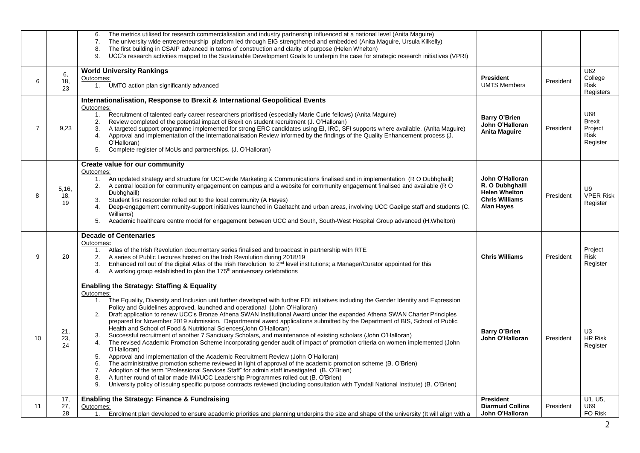|                |                    | The metrics utilised for research commercialisation and industry partnership influenced at a national level (Anita Maguire)<br>6.<br>The university wide entrepreneurship platform led through EIG strengthened and embedded (Anita Maguire, Ursula Kilkelly)<br>7.<br>The first building in CSAIP advanced in terms of construction and clarity of purpose (Helen Whelton)<br>8.<br>UCC's research activities mapped to the Sustainable Development Goals to underpin the case for strategic research initiatives (VPRI)<br>9.                                                                                                                                                                                                                                                                                                                                                                                                                                                                                                                                                                                                                                                                                                                                                                                                                                                                                                                                                         |                                                                                                          |           |                                                            |
|----------------|--------------------|-----------------------------------------------------------------------------------------------------------------------------------------------------------------------------------------------------------------------------------------------------------------------------------------------------------------------------------------------------------------------------------------------------------------------------------------------------------------------------------------------------------------------------------------------------------------------------------------------------------------------------------------------------------------------------------------------------------------------------------------------------------------------------------------------------------------------------------------------------------------------------------------------------------------------------------------------------------------------------------------------------------------------------------------------------------------------------------------------------------------------------------------------------------------------------------------------------------------------------------------------------------------------------------------------------------------------------------------------------------------------------------------------------------------------------------------------------------------------------------------|----------------------------------------------------------------------------------------------------------|-----------|------------------------------------------------------------|
| 6              | 6,<br>18,<br>23    | <b>World University Rankings</b><br>Outcomes:<br>UMTO action plan significantly advanced<br>1.                                                                                                                                                                                                                                                                                                                                                                                                                                                                                                                                                                                                                                                                                                                                                                                                                                                                                                                                                                                                                                                                                                                                                                                                                                                                                                                                                                                          | <b>President</b><br><b>UMTS Members</b>                                                                  | President | U62<br>College<br><b>Risk</b><br>Registers                 |
| $\overline{7}$ | 9,23               | Internationalisation, Response to Brexit & International Geopolitical Events<br>Outcomes:<br>1.<br>Recruitment of talented early career researchers prioritised (especially Marie Curie fellows) (Anita Maguire)<br>Review completed of the potential impact of Brexit on student recruitment (J. O'Halloran)<br>2.<br>A targeted support programme implemented for strong ERC candidates using EI, IRC, SFI supports where available. (Anita Maguire)<br>3.<br>Approval and implementation of the Internationalisation Review informed by the findings of the Quality Enhancement process (J.<br>4.<br>O'Halloran)<br>Complete register of MoUs and partnerships. (J. O'Halloran)<br>5.                                                                                                                                                                                                                                                                                                                                                                                                                                                                                                                                                                                                                                                                                                                                                                                                | <b>Barry O'Brien</b><br>John O'Halloran<br><b>Anita Maguire</b>                                          | President | U68<br><b>Brexit</b><br>Project<br><b>Risk</b><br>Register |
| 8              | 5,16,<br>18,<br>19 | Create value for our community<br>Outcomes:<br>An updated strategy and structure for UCC-wide Marketing & Communications finalised and in implementation (R O Dubhghaill)<br>1.<br>A central location for community engagement on campus and a website for community engagement finalised and available (R O<br>2.<br>Dubhqhaill)<br>Student first responder rolled out to the local community (A Hayes)<br>3.<br>Deep-engagement community-support initiatives launched in Gaeltacht and urban areas, involving UCC Gaeilge staff and students (C.<br>4.<br>Williams)<br>Academic healthcare centre model for engagement between UCC and South, South-West Hospital Group advanced (H.Whelton)<br>5.                                                                                                                                                                                                                                                                                                                                                                                                                                                                                                                                                                                                                                                                                                                                                                                   | John O'Halloran<br>R. O Dubhghaill<br><b>Helen Whelton</b><br><b>Chris Williams</b><br><b>Alan Hayes</b> | President | U <sub>9</sub><br><b>VPER Risk</b><br>Register             |
| 9              | 20                 | <b>Decade of Centenaries</b><br>Outcomes:<br>1. Atlas of the Irish Revolution documentary series finalised and broadcast in partnership with RTE<br>A series of Public Lectures hosted on the Irish Revolution during 2018/19<br>2.<br>Enhanced roll out of the digital Atlas of the Irish Revolution to 2 <sup>nd</sup> level institutions; a Manager/Curator appointed for this<br>3.<br>A working group established to plan the 175 <sup>th</sup> anniversary celebrations<br>4.                                                                                                                                                                                                                                                                                                                                                                                                                                                                                                                                                                                                                                                                                                                                                                                                                                                                                                                                                                                                     | <b>Chris Williams</b>                                                                                    | President | Project<br><b>Risk</b><br>Register                         |
| 10             | 21,<br>23,<br>24   | <b>Enabling the Strategy: Staffing &amp; Equality</b><br>Outcomes:<br>1. The Equality, Diversity and Inclusion unit further developed with further EDI initiatives including the Gender Identity and Expression<br>Policy and Guidelines approved, launched and operational (John O'Halloran)<br>Draft application to renew UCC's Bronze Athena SWAN Institutional Award under the expanded Athena SWAN Charter Principles<br>2.<br>prepared for November 2019 submission. Departmental award applications submitted by the Department of BIS, School of Public<br>Health and School of Food & Nutritional Sciences(John O'Halloran)<br>Successful recruitment of another 7 Sanctuary Scholars, and maintenance of existing scholars (John O'Halloran)<br>3.<br>The revised Academic Promotion Scheme incorporating gender audit of impact of promotion criteria on women implemented (John<br>4.<br>O'Halloran)<br>Approval and implementation of the Academic Recruitment Review (John O'Halloran)<br>5.<br>The administrative promotion scheme reviewed in light of approval of the academic promotion scheme (B. O'Brien)<br>6.<br>Adoption of the term "Professional Services Staff" for admin staff investigated (B. O'Brien)<br>7.<br>A further round of tailor made IMI/UCC Leadership Programmes rolled out (B. O'Brien)<br>8.<br>University policy of issuing specific purpose contracts reviewed (including consultation with Tyndall National Institute) (B. O'Brien)<br>9. | <b>Barry O'Brien</b><br>John O'Halloran                                                                  | President | U <sub>3</sub><br><b>HR Risk</b><br>Register               |
| 11             | 17,<br>27,<br>28   | <b>Enabling the Strategy: Finance &amp; Fundraising</b><br>Outcomes:<br>Enrolment plan developed to ensure academic priorities and planning underpins the size and shape of the university (It will align with a<br>1.                                                                                                                                                                                                                                                                                                                                                                                                                                                                                                                                                                                                                                                                                                                                                                                                                                                                                                                                                                                                                                                                                                                                                                                                                                                                  | President<br><b>Diarmuid Collins</b><br>John O'Halloran                                                  | President | U1, U5,<br>U69<br>FO Risk                                  |